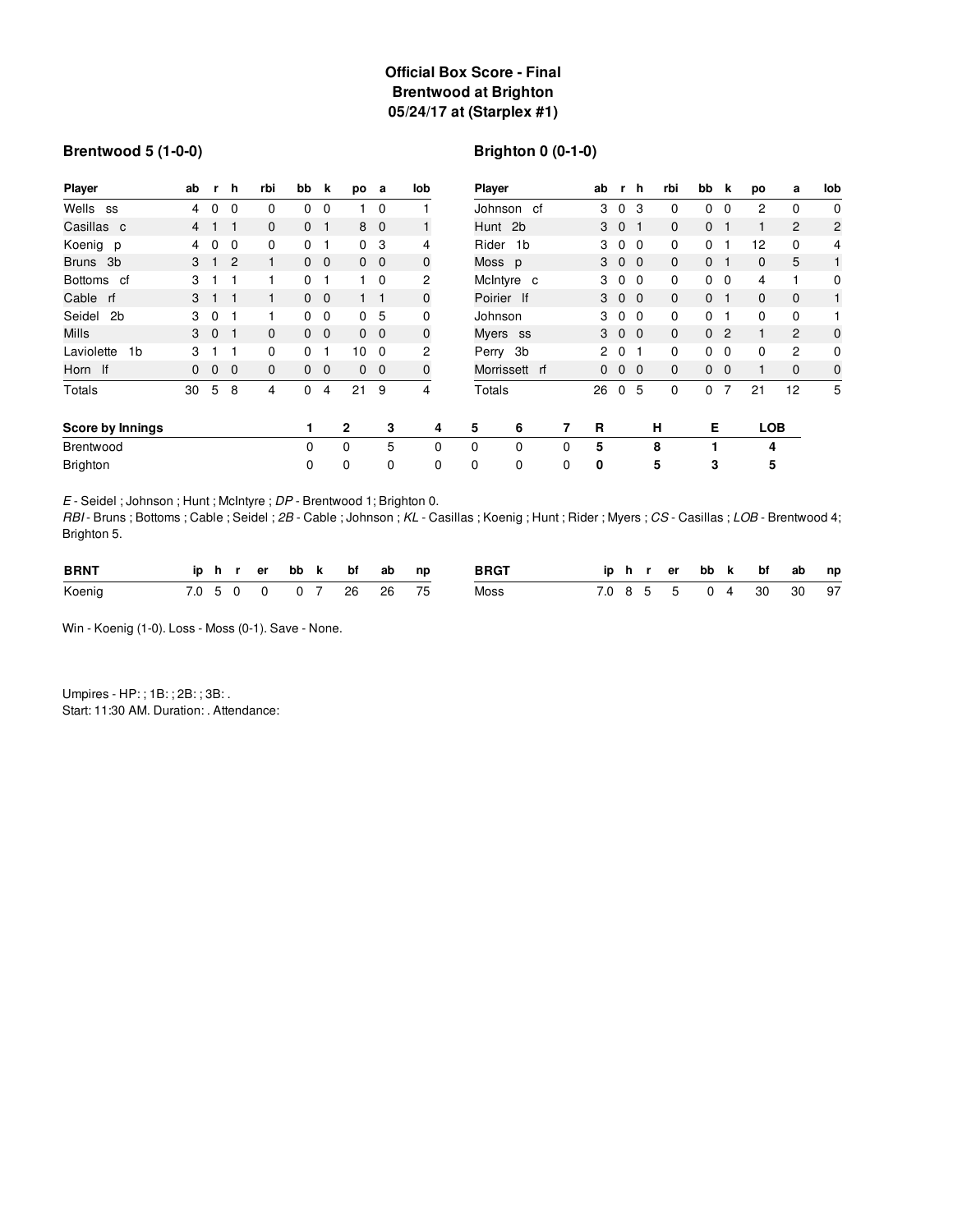## **Official Box Score - Final Brentwood at Brighton 05/24/17 at (Starplex #1)**

### **Brentwood 5 (1-0-0)**

# **Brighton 0 (0-1-0)**

| <b>Player</b>            | ab           | r.             | h              | rbi          | bb           | k                       | po           | а                        | lob         | <b>Player</b>           |   | ab |                | r h            | rbi          | bb             | k              | po           | a              | lob            |
|--------------------------|--------------|----------------|----------------|--------------|--------------|-------------------------|--------------|--------------------------|-------------|-------------------------|---|----|----------------|----------------|--------------|----------------|----------------|--------------|----------------|----------------|
| Wells ss                 | 4            | 0              | 0              | 0            | 0            | 0                       |              | 0                        |             | Johnson cf              |   | 3  | $\mathbf 0$    | 3              | 0            | 0              | 0              | 2            | $\mathbf 0$    | $\mathbf 0$    |
| Casillas c               | 4            |                |                | $\mathbf{0}$ | $\mathbf{0}$ | $\overline{\mathbf{1}}$ |              | 8 0                      |             | Hunt 2b                 |   |    | 301            |                | $\mathbf{0}$ | 0 <sub>1</sub> |                | 1            | $\overline{2}$ | $\overline{c}$ |
| Koenig<br>p              | 4            | 0              | 0              | 0            | 0            |                         | 0            | -3                       | 4           | Rider<br>1 <sub>b</sub> |   | 3  | $\overline{0}$ | - 0            | 0            | 0              |                | 12           | $\mathbf 0$    | 4              |
| Bruns 3b                 | 3            |                | $\overline{c}$ |              | $\mathbf{0}$ | $\overline{0}$          |              | $0\quad 0$               | 0           | Moss p                  |   | 3  | $0\quad 0$     |                | $\mathbf{0}$ | 0              | -1             | $\mathbf{0}$ | 5              |                |
| Bottoms cf               | 3            |                |                |              | 0            |                         |              | $\overline{\phantom{0}}$ | 2           | McIntyre c              |   | 3  | $0\quad 0$     |                | 0            | 0              | $\mathbf{0}$   | 4            |                | 0              |
| Cable rf                 | 3            |                |                | 1            | $\Omega$     | $\overline{0}$          |              | $1 \quad 1$              | $\mathbf 0$ | Poirier If              |   |    | 3 0 0          |                | $\mathbf{0}$ | $\mathbf{0}$   | $\mathbf{1}$   | $\mathbf{0}$ | $\mathbf{0}$   |                |
| Seidel<br>2 <sub>b</sub> | 3            | 0              |                |              | 0            | $\mathbf 0$             | 0            | 5                        | 0           | Johnson                 |   | 3  | $0\quad 0$     |                | 0            | 0              |                | 0            | 0              |                |
| Mills                    | 3            | $\overline{0}$ |                | $\mathbf{0}$ | $\mathbf{0}$ | $\overline{0}$          |              | $0\quad 0$               | $\mathbf 0$ | Myers ss                |   | 3  | $0\quad 0$     |                | $\mathbf{0}$ | 0              | $\overline{2}$ | 1            | $\overline{2}$ | $\mathbf{0}$   |
| Laviolette<br>1b         | 3            |                |                | 0            | 0            |                         | 10           | $\mathbf{0}$             | 2           | Perry 3b                |   |    | $2\quad0$      |                | 0            | 0              | $\mathbf{0}$   | $\mathbf 0$  | $\overline{2}$ | 0              |
| Horn If                  | $\mathbf{0}$ | $\mathbf{0}$   | $\mathbf 0$    | $\mathbf{0}$ | 0            | 0                       | 0            | $\overline{0}$           | 0           | Morrissett rf           |   | 0  | $\mathbf{0}$   | $\overline{0}$ | $\mathbf{0}$ | 0              | $\mathbf{0}$   | 1            | $\mathbf{0}$   | 0              |
| <b>Totals</b>            | 30           | 5              | 8              | 4            | 0            | 4                       | 21           | 9                        | 4           | Totals                  |   | 26 | $\mathbf 0$    | 5              | $\mathbf 0$  | 0              | 7              | 21           | 12             | 5              |
| Score by Innings         |              |                |                |              |              |                         | $\mathbf{2}$ | 3                        | 4           | 5<br>6                  | 7 | R  |                |                | н            | Е              |                | <b>LOB</b>   |                |                |
| <b>Brentwood</b>         |              |                |                |              | 0            |                         | 0            | 5                        | $\Omega$    | $\Omega$<br>$\Omega$    | 0 | 5  |                |                | 8            |                |                | 4            |                |                |
| <b>Brighton</b>          |              |                |                |              | 0            |                         | 0            | $\Omega$                 | $\Omega$    | $\Omega$<br>$\mathbf 0$ | 0 | 0  |                |                | 5            | 3              |                | 5            |                |                |

*E* - Seidel ; Johnson ; Hunt ; McIntyre ; *DP* - Brentwood 1; Brighton 0.

*RBI* - Bruns ; Bottoms ; Cable ; Seidel ; *2B* - Cable ; Johnson ; *KL* - Casillas ; Koenig ; Hunt ; Rider ; Myers ; *CS* - Casillas ; *LOB* - Brentwood 4; Brighton 5.

| <b>BRNT</b> |  |  |  | iphrerbbk bfab np      |  | BRGT |  |  |  | iphrerbbk bf ab np     |  |
|-------------|--|--|--|------------------------|--|------|--|--|--|------------------------|--|
| Koenig      |  |  |  | 7.0 5 0 0 0 7 26 26 75 |  | Moss |  |  |  | 7.0 8 5 5 0 4 30 30 97 |  |

Win - Koenig (1-0). Loss - Moss (0-1). Save - None.

Umpires - HP: ; 1B: ; 2B: ; 3B: . Start: 11:30 AM. Duration: . Attendance: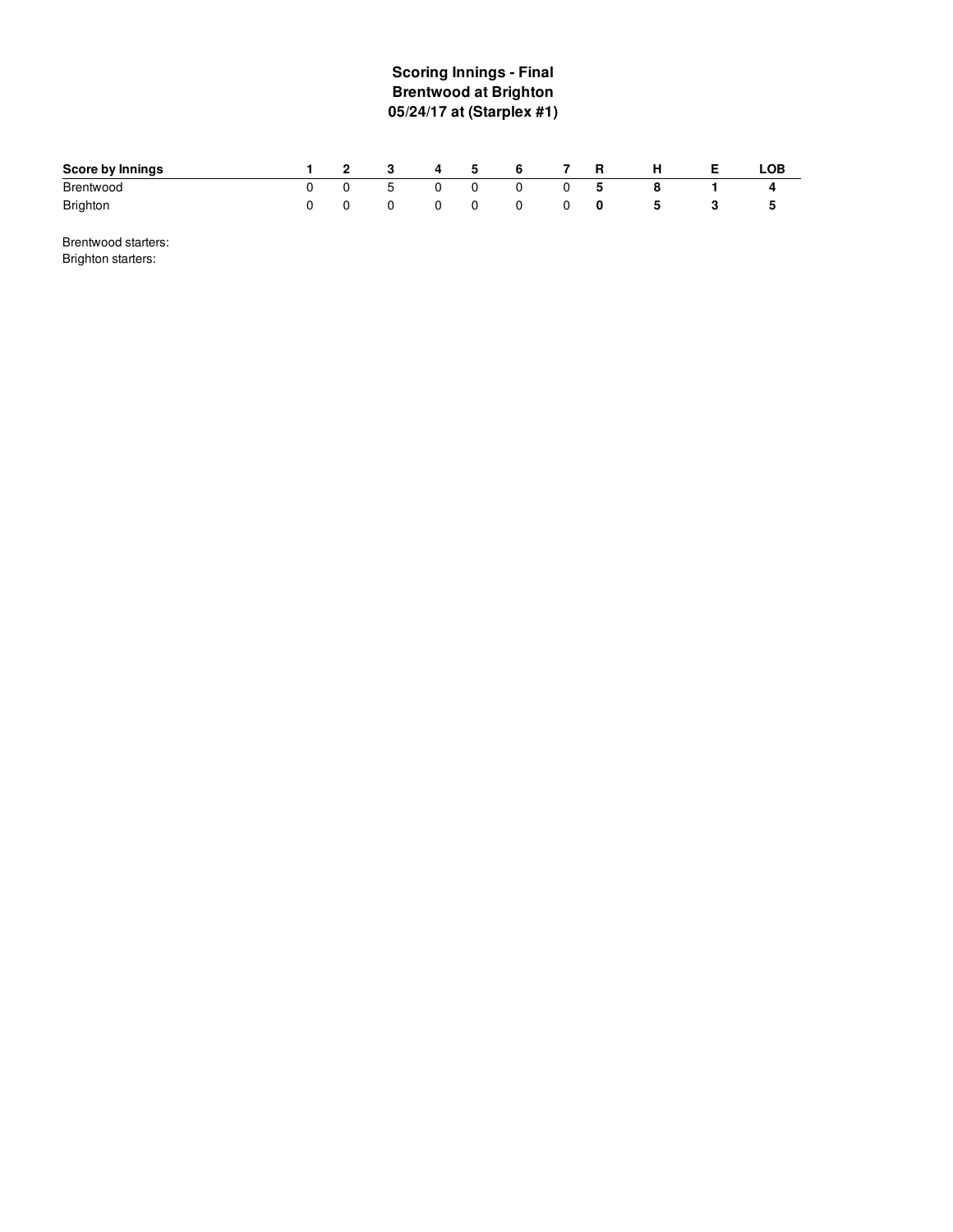## **S c o rin g In nin g s - Fin al Brentwood at Brighton 05/24/17 at (Starplex #1 )**

| Score by Innings | $\overline{\phantom{a}}$ 2 | 3 | $\overline{4}$ | 5 | -6 | 7 R |     | н | LOB. |
|------------------|----------------------------|---|----------------|---|----|-----|-----|---|------|
| <b>Brentwood</b> |                            | 5 |                | 0 | 0  |     | - 5 |   |      |
| <b>Brighton</b>  |                            | 0 |                | 0 | 0  |     | 0   | b | 5    |

Brentwood starters: Brighton starters: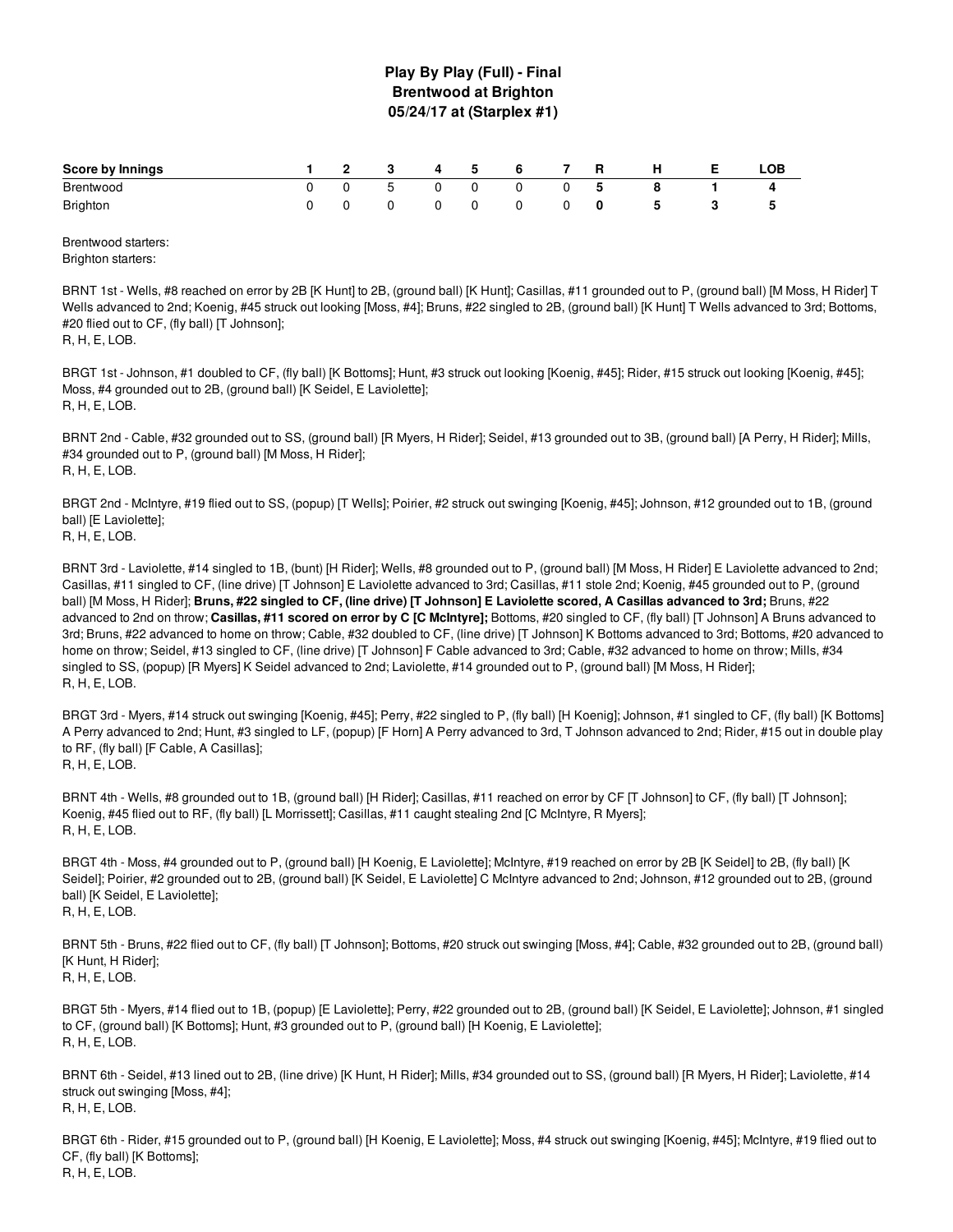### **Play By Play (Full) - Final Brentwood at Brighton 05/24/17 at (Starplex #1)**

| Score by Innings | - 2 | 3 | 4 | 5 |  | R | Н | LOB |
|------------------|-----|---|---|---|--|---|---|-----|
| Brentwood        |     | 5 |   |   |  |   |   |     |
| <b>Brighton</b>  |     |   |   |   |  | U | b |     |

Brentwood starters: Brighton starters:

BRNT 1st - Wells, #8 reached on error by 2B [K Hunt] to 2B, (ground ball) [K Hunt]; Casillas, #11 grounded out to P, (ground ball) [M Moss, H Rider] T Wells advanced to 2nd; Koenig, #45 struck out looking [Moss, #4]; Bruns, #22 singled to 2B, (ground ball) [K Hunt] T Wells advanced to 3rd; Bottoms, #20 flied out to CF, (fly ball) [T Johnson];

R, H, E, LOB.

BRGT 1st - Johnson, #1 doubled to CF, (fly ball) [K Bottoms]; Hunt, #3 struck out looking [Koenig, #45]; Rider, #15 struck out looking [Koenig, #45]; Moss, #4 grounded out to 2B, (ground ball) [K Seidel, E Laviolette]; R, H, E, LOB.

BRNT 2nd - Cable, #32 grounded out to SS, (ground ball) [R Myers, H Rider]; Seidel, #13 grounded out to 3B, (ground ball) [A Perry, H Rider]; Mills, #34 grounded out to P, (ground ball) [M Moss, H Rider]; R, H, E, LOB.

BRGT 2nd - McIntyre, #19 flied out to SS, (popup) [T Wells]; Poirier, #2 struck out swinging [Koenig, #45]; Johnson, #12 grounded out to 1B, (ground ball) [E Laviolette]; R, H, E, LOB.

BRNT 3rd - Laviolette, #14 singled to 1B, (bunt) [H Rider]; Wells, #8 grounded out to P, (ground ball) [M Moss, H Rider] E Laviolette advanced to 2nd; Casillas, #11 singled to CF, (line drive) [T Johnson] E Laviolette advanced to 3rd; Casillas, #11 stole 2nd; Koenig, #45 grounded out to P, (ground ball) [M Moss, H Rider]; Bruns, #22 singled to CF, (line drive) [T Johnson] E Laviolette scored, A Casillas advanced to 3rd; Bruns, #22 advanced to 2nd on throw; **Casillas, #11 scored on error by C [C McIntyre];** Bottoms, #20 singled to CF, (fly ball) [T Johnson] A Bruns advanced to 3rd; Bruns, #22 advanced to home on throw; Cable, #32 doubled to CF, (line drive) [T Johnson] K Bottoms advanced to 3rd; Bottoms, #20 advanced to home on throw; Seidel, #13 singled to CF, (line drive) [T Johnson] F Cable advanced to 3rd; Cable, #32 advanced to home on throw; Mills, #34 singled to SS, (popup) [R Myers] K Seidel advanced to 2nd; Laviolette, #14 grounded out to P, (ground ball) [M Moss, H Rider]; R, H, E, LOB.

BRGT 3rd - Myers, #14 struck out swinging [Koenig, #45]; Perry, #22 singled to P, (fly ball) [H Koenig]; Johnson, #1 singled to CF, (fly ball) [K Bottoms] A Perry advanced to 2nd; Hunt, #3 singled to LF, (popup) [F Horn] A Perry advanced to 3rd, T Johnson advanced to 2nd; Rider, #15 out in double play to RF, (fly ball) [F Cable, A Casillas]; R, H, E, LOB.

BRNT 4th - Wells, #8 grounded out to 1B, (ground ball) [H Rider]; Casillas, #11 reached on error by CF [T Johnson] to CF, (fly ball) [T Johnson]; Koenig, #45 flied out to RF, (fly ball) [L Morrissett]; Casillas, #11 caught stealing 2nd [C McIntyre, R Myers]; R, H, E, LOB.

BRGT 4th - Moss, #4 grounded out to P, (ground ball) [H Koenig, E Laviolette]; McIntyre, #19 reached on error by 2B [K Seidel] to 2B, (fly ball) [K Seidel]; Poirier, #2 grounded out to 2B, (ground ball) [K Seidel, E Laviolette] C McIntyre advanced to 2nd; Johnson, #12 grounded out to 2B, (ground ball) [K Seidel, E Laviolette]; R, H, E, LOB.

BRNT 5th - Bruns, #22 flied out to CF, (fly ball) [T Johnson]; Bottoms, #20 struck out swinging [Moss, #4]; Cable, #32 grounded out to 2B, (ground ball) [K Hunt, H Rider]; R, H, E, LOB.

BRGT 5th - Myers, #14 flied out to 1B, (popup) [E Laviolette]; Perry, #22 grounded out to 2B, (ground ball) [K Seidel, E Laviolette]; Johnson, #1 singled to CF, (ground ball) [K Bottoms]; Hunt, #3 grounded out to P, (ground ball) [H Koenig, E Laviolette]; R, H, E, LOB.

BRNT 6th - Seidel, #13 lined out to 2B, (line drive) [K Hunt, H Rider]; Mills, #34 grounded out to SS, (ground ball) [R Myers, H Rider]; Laviolette, #14 struck out swinging [Moss, #4]; R, H, E, LOB.

BRGT 6th - Rider, #15 grounded out to P, (ground ball) [H Koenig, E Laviolette]; Moss, #4 struck out swinging [Koenig, #45]; McIntyre, #19 flied out to CF, (fly ball) [K Bottoms]; R, H, E, LOB.